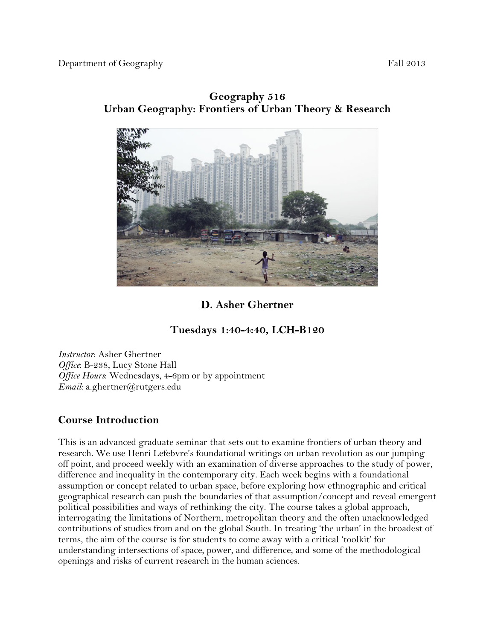

## **Geography 516 Urban Geography: Frontiers of Urban Theory & Research**

# **D. Asher Ghertner**

## **Tuesdays 1:40-4:40, LCH-B120**

*Instructor*: Asher Ghertner *Office*: B-238, Lucy Stone Hall *Office Hours*: Wednesdays, 4-6pm or by appointment *Email*: a.ghertner@rutgers.edu

## **Course Introduction**

This is an advanced graduate seminar that sets out to examine frontiers of urban theory and research. We use Henri Lefebvre's foundational writings on urban revolution as our jumping off point, and proceed weekly with an examination of diverse approaches to the study of power, difference and inequality in the contemporary city. Each week begins with a foundational assumption or concept related to urban space, before exploring how ethnographic and critical geographical research can push the boundaries of that assumption/concept and reveal emergent political possibilities and ways of rethinking the city. The course takes a global approach, interrogating the limitations of Northern, metropolitan theory and the often unacknowledged contributions of studies from and on the global South. In treating 'the urban' in the broadest of terms, the aim of the course is for students to come away with a critical 'toolkit' for understanding intersections of space, power, and difference, and some of the methodological openings and risks of current research in the human sciences.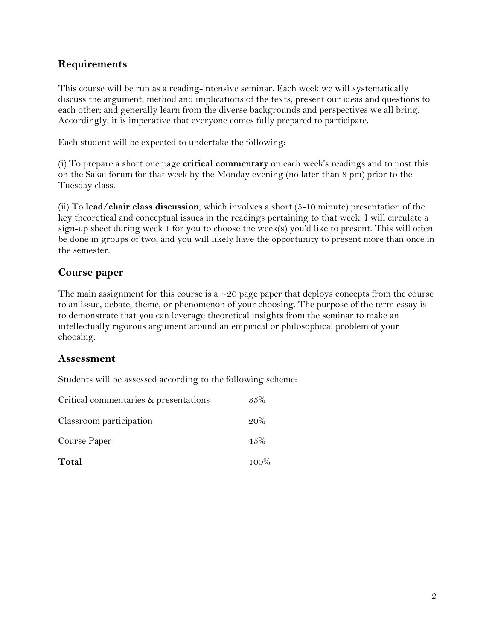# **Requirements**

This course will be run as a reading-intensive seminar. Each week we will systematically discuss the argument, method and implications of the texts; present our ideas and questions to each other; and generally learn from the diverse backgrounds and perspectives we all bring. Accordingly, it is imperative that everyone comes fully prepared to participate.

Each student will be expected to undertake the following:

(i) To prepare a short one page **critical commentary** on each week's readings and to post this on the Sakai forum for that week by the Monday evening (no later than 8 pm) prior to the Tuesday class.

(ii) To **lead/chair class discussion**, which involves a short (5-10 minute) presentation of the key theoretical and conceptual issues in the readings pertaining to that week. I will circulate a sign-up sheet during week 1 for you to choose the week(s) you'd like to present. This will often be done in groups of two, and you will likely have the opportunity to present more than once in the semester.

## **Course paper**

The main assignment for this course is a  $\sim$  20 page paper that deploys concepts from the course to an issue, debate, theme, or phenomenon of your choosing. The purpose of the term essay is to demonstrate that you can leverage theoretical insights from the seminar to make an intellectually rigorous argument around an empirical or philosophical problem of your choosing.

### **Assessment**

Students will be assessed according to the following scheme:

| Critical commentaries & presentations | $35\%$  |
|---------------------------------------|---------|
| Classroom participation               | $20\%$  |
| Course Paper                          | $4.5\%$ |
| Total                                 | 100%    |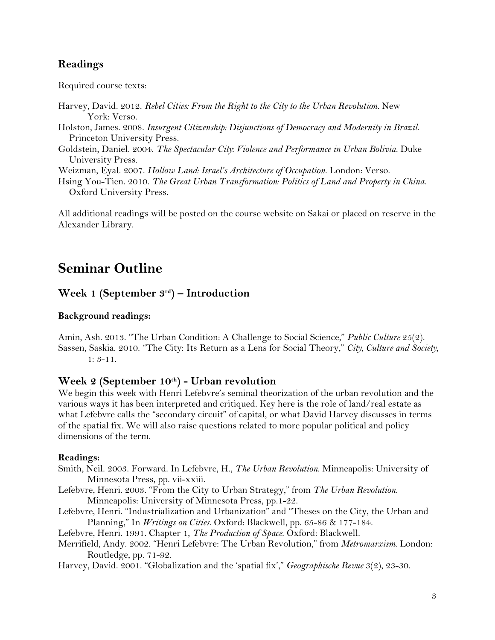## **Readings**

Required course texts:

- Harvey, David. 2012. *Rebel Cities: From the Right to the City to the Urban Revolution.* New York: Verso.
- Holston, James. 2008. *Insurgent Citizenship: Disjunctions of Democracy and Modernity in Brazil*. Princeton University Press.
- Goldstein, Daniel. 2004. *The Spectacular City: Violence and Performance in Urban Bolivia*. Duke University Press.

Weizman, Eyal. 2007. *Hollow Land: Israel's Architecture of Occupation*. London: Verso.

Hsing You-Tien. 2010. *The Great Urban Transformation: Politics of Land and Property in China*. Oxford University Press.

All additional readings will be posted on the course website on Sakai or placed on reserve in the Alexander Library.

# **Seminar Outline**

### **Week 1 (September 3rd) – Introduction**

#### **Background readings:**

Amin, Ash. 2013. "The Urban Condition: A Challenge to Social Science," *Public Culture* 25(2). Sassen, Saskia. 2010. "The City: Its Return as a Lens for Social Theory," *City, Culture and Society*, 1: 3-11.

#### **Week 2 (September 10th) - Urban revolution**

We begin this week with Henri Lefebvre's seminal theorization of the urban revolution and the various ways it has been interpreted and critiqued. Key here is the role of land/real estate as what Lefebvre calls the "secondary circuit" of capital, or what David Harvey discusses in terms of the spatial fix. We will also raise questions related to more popular political and policy dimensions of the term.

#### **Readings:**

- Smith, Neil. 2003. Forward. In Lefebvre, H., *The Urban Revolution*. Minneapolis: University of Minnesota Press, pp. vii-xxiii.
- Lefebvre, Henri. 2003. "From the City to Urban Strategy," from *The Urban Revolution*. Minneapolis: University of Minnesota Press, pp.1-22.
- Lefebvre, Henri. "Industrialization and Urbanization" and "Theses on the City, the Urban and Planning," In *Writings on Cities*. Oxford: Blackwell, pp. 65-86 & 177-184.
- Lefebvre, Henri. 1991. Chapter 1, *The Production of Space*. Oxford: Blackwell.
- Merrifield, Andy. 2002. "Henri Lefebvre: The Urban Revolution," from *Metromarxism*. London: Routledge, pp. 71-92.
- Harvey, David. 2001. "Globalization and the 'spatial fix'," *Geographische Revue* 3(2), 23-30.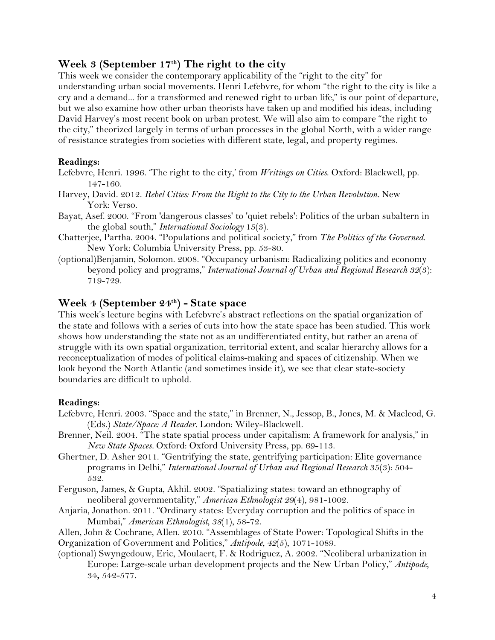### **Week 3 (September 17th) The right to the city**

This week we consider the contemporary applicability of the "right to the city" for understanding urban social movements. Henri Lefebvre, for whom "the right to the city is like a cry and a demand... for a transformed and renewed right to urban life," is our point of departure, but we also examine how other urban theorists have taken up and modified his ideas, including David Harvey's most recent book on urban protest. We will also aim to compare "the right to the city," theorized largely in terms of urban processes in the global North, with a wider range of resistance strategies from societies with different state, legal, and property regimes.

#### **Readings:**

- Lefebvre, Henri. 1996. 'The right to the city,' from *Writings on Cities*. Oxford: Blackwell, pp. 147-160.
- Harvey, David. 2012. *Rebel Cities: From the Right to the City to the Urban Revolution.* New York: Verso.
- Bayat, Asef. 2000. "From 'dangerous classes' to 'quiet rebels': Politics of the urban subaltern in the global south," *International Sociology* 15(3).
- Chatterjee, Partha. 2004. "Populations and political society," from *The Politics of the Governed.* New York: Columbia University Press, pp. 53-80.
- (optional)Benjamin, Solomon. 2008. "Occupancy urbanism: Radicalizing politics and economy beyond policy and programs," *International Journal of Urban and Regional Research 32*(3): 719-729.

### **Week 4 (September 24th) - State space**

This week's lecture begins with Lefebvre's abstract reflections on the spatial organization of the state and follows with a series of cuts into how the state space has been studied. This work shows how understanding the state not as an undifferentiated entity, but rather an arena of struggle with its own spatial organization, territorial extent, and scalar hierarchy allows for a reconceptualization of modes of political claims-making and spaces of citizenship. When we look beyond the North Atlantic (and sometimes inside it), we see that clear state-society boundaries are difficult to uphold.

#### **Readings:**

- Lefebvre, Henri. 2003. "Space and the state," in Brenner, N., Jessop, B., Jones, M. & Macleod, G. (Eds.) *State/Space: A Reader.* London: Wiley-Blackwell.
- Brenner, Neil. 2004. "The state spatial process under capitalism: A framework for analysis," in *New State Spaces.* Oxford: Oxford University Press, pp. 69-113.
- Ghertner, D. Asher 2011. "Gentrifying the state, gentrifying participation: Elite governance programs in Delhi," *International Journal of Urban and Regional Research* 35(3): 504- 532.
- Ferguson, James, & Gupta, Akhil. 2002. "Spatializing states: toward an ethnography of neoliberal governmentality," *American Ethnologist 29*(4), 981-1002.
- Anjaria, Jonathon. 2011. "Ordinary states: Everyday corruption and the politics of space in Mumbai," *American Ethnologist, 38*(1), 58-72.

Allen, John & Cochrane, Allen. 2010. "Assemblages of State Power: Topological Shifts in the Organization of Government and Politics," *Antipode, 42*(5), 1071-1089.

(optional) Swyngedouw, Eric, Moulaert, F. & Rodriguez, A. 2002. "Neoliberal urbanization in Europe: Large-scale urban development projects and the New Urban Policy," *Antipode,* 34**,** 542-577.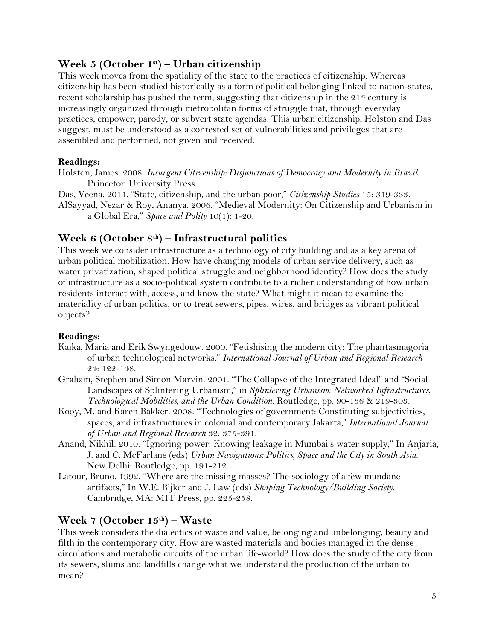## **Week 5 (October 1st) – Urban citizenship**

This week moves from the spatiality of the state to the practices of citizenship. Whereas citizenship has been studied historically as a form of political belonging linked to nation-states, recent scholarship has pushed the term, suggesting that citizenship in the 21<sup>st</sup> century is increasingly organized through metropolitan forms of struggle that, through everyday practices, empower, parody, or subvert state agendas. This urban citizenship, Holston and Das suggest, must be understood as a contested set of vulnerabilities and privileges that are assembled and performed, not given and received.

### **Readings:**

Holston, James. 2008. *Insurgent Citizenship: Disjunctions of Democracy and Modernity in Brazil*. Princeton University Press.

Das, Veena. 2011. "State, citizenship, and the urban poor," *Citizenship Studies* 15: 319-333. AlSayyad, Nezar & Roy, Ananya. 2006. "Medieval Modernity: On Citizenship and Urbanism in a Global Era," *Space and Polity* 10(1): 1-20.

## **Week 6 (October 8th) – Infrastructural politics**

This week we consider infrastructure as a technology of city building and as a key arena of urban political mobilization. How have changing models of urban service delivery, such as water privatization, shaped political struggle and neighborhood identity? How does the study of infrastructure as a socio-political system contribute to a richer understanding of how urban residents interact with, access, and know the state? What might it mean to examine the materiality of urban politics, or to treat sewers, pipes, wires, and bridges as vibrant political objects?

### **Readings:**

- Kaika, Maria and Erik Swyngedouw. 2000. "Fetishising the modern city: The phantasmagoria of urban technological networks." *International Journal of Urban and Regional Research* 24: 122-148.
- Graham, Stephen and Simon Marvin. 2001. "The Collapse of the Integrated Ideal" and "Social Landscapes of Splintering Urbanism," in *Splintering Urbanism: Networked Infrastructures, Technological Mobilities, and the Urban Condition*. Routledge, pp. 90-136 & 219-303.
- Kooy, M. and Karen Bakker. 2008. "Technologies of government: Constituting subjectivities, spaces, and infrastructures in colonial and contemporary Jakarta," *International Journal of Urban and Regional Research* 32: 375-391.
- Anand, Nikhil. 2010. "Ignoring power: Knowing leakage in Mumbai's water supply," In Anjaria, J. and C. McFarlane (eds) *Urban Navigations: Politics, Space and the City in South Asia*. New Delhi: Routledge, pp. 191-212.
- Latour, Bruno. 1992. "Where are the missing masses? The sociology of a few mundane artifacts," In W.E. Bijker and J. Law (eds) *Shaping Technology/Building Society*. Cambridge, MA: MIT Press, pp. 225-258.

### **Week 7 (October 15th) – Waste**

This week considers the dialectics of waste and value, belonging and unbelonging, beauty and filth in the contemporary city. How are wasted materials and bodies managed in the dense circulations and metabolic circuits of the urban life-world? How does the study of the city from its sewers, slums and landfills change what we understand the production of the urban to mean?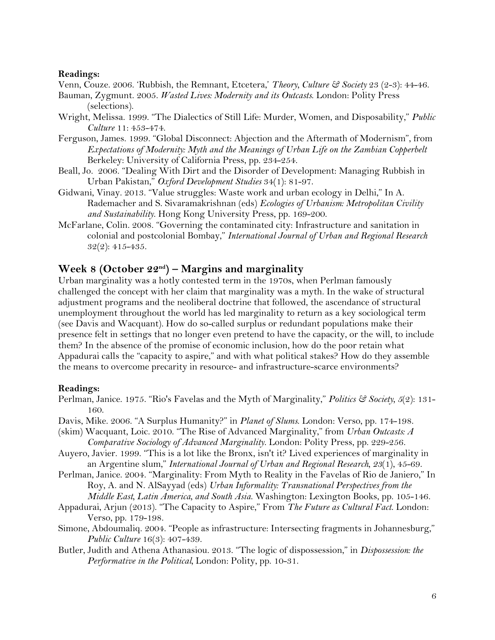#### **Readings:**

Venn, Couze. 2006. 'Rubbish, the Remnant, Etcetera,' *Theory, Culture & Society* 23 (2-3): 44-46.

- Bauman, Zygmunt. 2005. *Wasted Lives: Modernity and its Outcasts*. London: Polity Press (selections).
- Wright, Melissa. 1999. "The Dialectics of Still Life: Murder, Women, and Disposability," *Public Culture* 11: 453-474.
- Ferguson, James. 1999. "Global Disconnect: Abjection and the Aftermath of Modernism", from *Expectations of Modernity: Myth and the Meanings of Urban Life on the Zambian Copperbelt*  Berkeley: University of California Press, pp. 234-254.
- Beall, Jo. 2006. "Dealing With Dirt and the Disorder of Development: Managing Rubbish in Urban Pakistan," *Oxford Development Studies* 34(1): 81-97.
- Gidwani, Vinay. 2013. "Value struggles: Waste work and urban ecology in Delhi," In A. Rademacher and S. Sivaramakrishnan (eds) *Ecologies of Urbanism: Metropolitan Civility and Sustainability*. Hong Kong University Press, pp. 169-200.
- McFarlane, Colin. 2008. "Governing the contaminated city: Infrastructure and sanitation in colonial and postcolonial Bombay," *International Journal of Urban and Regional Research* 32(2): 415-435.

#### **Week 8 (October 22nd) – Margins and marginality**

Urban marginality was a hotly contested term in the 1970s, when Perlman famously challenged the concept with her claim that marginality was a myth. In the wake of structural adjustment programs and the neoliberal doctrine that followed, the ascendance of structural unemployment throughout the world has led marginality to return as a key sociological term (see Davis and Wacquant). How do so-called surplus or redundant populations make their presence felt in settings that no longer even pretend to have the capacity, or the will, to include them? In the absence of the promise of economic inclusion, how do the poor retain what Appadurai calls the "capacity to aspire," and with what political stakes? How do they assemble the means to overcome precarity in resource- and infrastructure-scarce environments?

#### **Readings:**

- Perlman, Janice. 1975. "Rio's Favelas and the Myth of Marginality," *Politics & Society, 5*(2): 131- 160.
- Davis, Mike. 2006. "A Surplus Humanity?" in *Planet of Slums*. London: Verso, pp. 174-198.
- (skim) Wacquant, Loic. 2010. "The Rise of Advanced Marginality," from *Urban Outcasts: A Comparative Sociology of Advanced Marginality*. London: Polity Press, pp. 229-256.
- Auyero, Javier. 1999. "This is a lot like the Bronx, isn't it? Lived experiences of marginality in an Argentine slum," *International Journal of Urban and Regional Research, 23*(1), 45-69.
- Perlman, Janice. 2004. "Marginality: From Myth to Reality in the Favelas of Rio de Janiero," In Roy, A. and N. AlSayyad (eds) *Urban Informality: Transnational Perspectives from the Middle East, Latin America, and South Asia*. Washington: Lexington Books, pp. 105-146.
- Appadurai, Arjun (2013). "The Capacity to Aspire," From *The Future as Cultural Fact*. London: Verso, pp. 179-198.
- Simone, Abdoumaliq. 2004. "People as infrastructure: Intersecting fragments in Johannesburg," *Public Culture* 16(3): 407-439.
- Butler, Judith and Athena Athanasiou. 2013. "The logic of dispossession," in *Dispossession: the Performative in the Political,* London: Polity, pp. 10-31.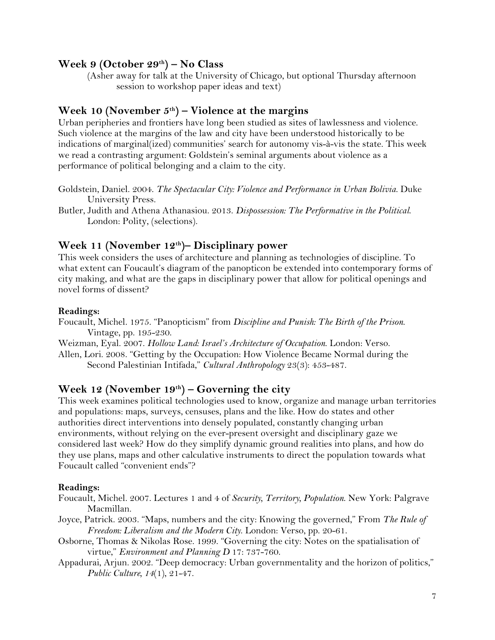### **Week 9 (October 29th) – No Class**

(Asher away for talk at the University of Chicago, but optional Thursday afternoon session to workshop paper ideas and text)

### **Week 10 (November 5th) – Violence at the margins**

Urban peripheries and frontiers have long been studied as sites of lawlessness and violence. Such violence at the margins of the law and city have been understood historically to be indications of marginal(ized) communities' search for autonomy vis-à-vis the state. This week we read a contrasting argument: Goldstein's seminal arguments about violence as a performance of political belonging and a claim to the city.

Goldstein, Daniel. 2004. *The Spectacular City: Violence and Performance in Urban Bolivia*. Duke University Press.

Butler, Judith and Athena Athanasiou. 2013. *Dispossession: The Performative in the Political*. London: Polity, (selections).

### **Week 11 (November 12th)– Disciplinary power**

This week considers the uses of architecture and planning as technologies of discipline. To what extent can Foucault's diagram of the panopticon be extended into contemporary forms of city making, and what are the gaps in disciplinary power that allow for political openings and novel forms of dissent?

#### **Readings:**

Foucault, Michel. 1975. "Panopticism" from *Discipline and Punish: The Birth of the Prison*. Vintage, pp. 195-230.

Weizman, Eyal. 2007. *Hollow Land: Israel's Architecture of Occupation*. London: Verso. Allen, Lori. 2008. "Getting by the Occupation: How Violence Became Normal during the Second Palestinian Intifada," *Cultural Anthropology* 23(3): 453-487.

## **Week 12 (November 19th) – Governing the city**

This week examines political technologies used to know, organize and manage urban territories and populations: maps, surveys, censuses, plans and the like. How do states and other authorities direct interventions into densely populated, constantly changing urban environments, without relying on the ever-present oversight and disciplinary gaze we considered last week? How do they simplify dynamic ground realities into plans, and how do they use plans, maps and other calculative instruments to direct the population towards what Foucault called "convenient ends"?

#### **Readings:**

Foucault, Michel. 2007. Lectures 1 and 4 of *Security, Territory, Population*. New York: Palgrave Macmillan.

Joyce, Patrick. 2003. "Maps, numbers and the city: Knowing the governed," From *The Rule of Freedom: Liberalism and the Modern City*. London: Verso, pp. 20-61.

Osborne, Thomas & Nikolas Rose. 1999. "Governing the city: Notes on the spatialisation of virtue," *Environment and Planning D* 17: 737-760.

Appadurai, Arjun. 2002. "Deep democracy: Urban governmentality and the horizon of politics," *Public Culture, 14*(1), 21-47.